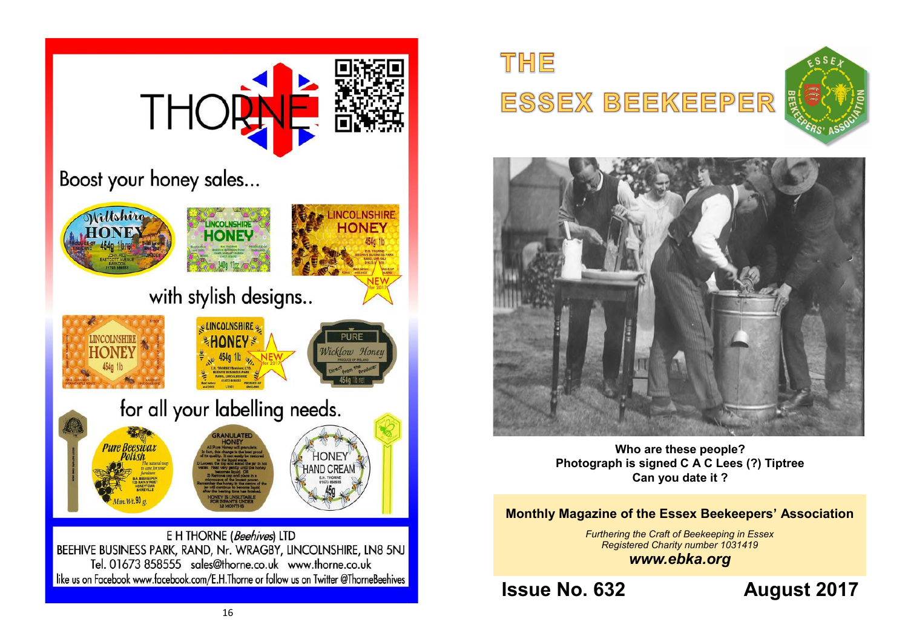

# THE ESSEX BEEKEEPER





**Who are these people? Photograph is signed C A C Lees (?) Tiptree Can you date it ?**

### **Monthly Magazine of the Essex Beekeepers' Association**

*Furthering the Craft of Beekeeping in Essex Registered Charity number 1031419 www.ebka.org*

**Issue No. 632 August 2017**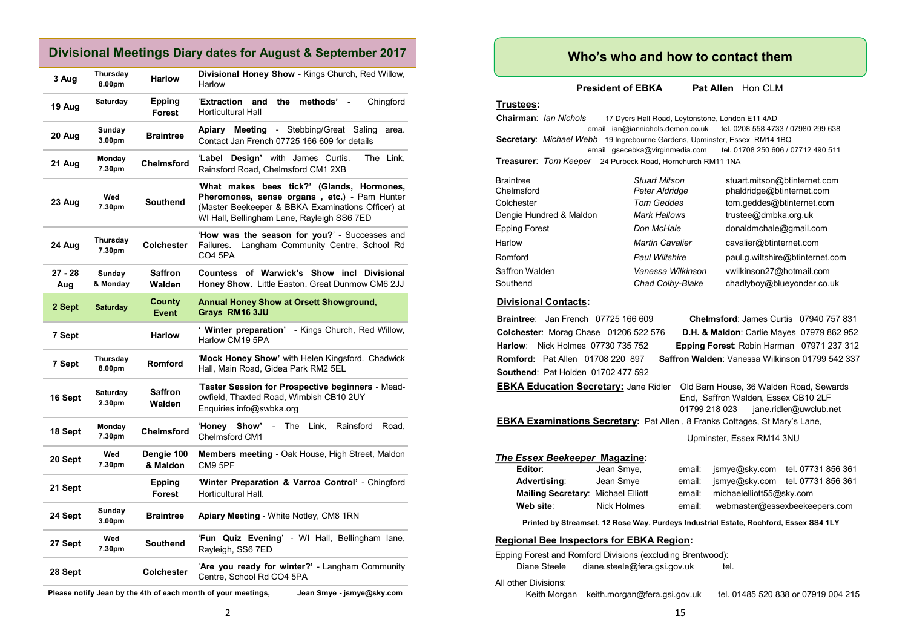### **Divisional Meetings Diary dates for August & September 2017**

| 3 Aug            | Thursday<br>8.00pm | <b>Harlow</b>            | Divisional Honey Show - Kings Church, Red Willow,<br>Harlow                                                                                                                                          |
|------------------|--------------------|--------------------------|------------------------------------------------------------------------------------------------------------------------------------------------------------------------------------------------------|
| 19 Aug           | <b>Saturday</b>    | <b>Epping</b><br>Forest  | and<br>the<br>methods'<br>'Extraction<br>Chingford<br><b>Horticultural Hall</b>                                                                                                                      |
| 20 Aug           | Sunday<br>3.00pm   | <b>Braintree</b>         | <b>Apiary Meeting - Stebbing/Great Saling</b><br>area.<br>Contact Jan French 07725 166 609 for details                                                                                               |
| 21 Aug           | Monday<br>7.30pm   | Chelmsford               | 'Label Design' with James Curtis.<br>The Link,<br>Rainsford Road, Chelmsford CM1 2XB                                                                                                                 |
| 23 Aug           | Wed<br>7.30pm      | Southend                 | 'What makes bees tick?' (Glands, Hormones,<br><b>Pheromones, sense organs, etc.)</b> - Pam Hunter<br>(Master Beekeeper & BBKA Examinations Officer) at<br>WI Hall, Bellingham Lane, Rayleigh SS6 7ED |
| 24 Aug           | Thursday<br>7.30pm | <b>Colchester</b>        | 'How was the season for you?' - Successes and<br>Langham Community Centre, School Rd<br>Failures.<br><b>CO4 5PA</b>                                                                                  |
| $27 - 28$<br>Aug | Sunday<br>& Monday | Saffron<br>Walden        | Countess of Warwick's Show incl Divisional<br>Honey Show. Little Easton. Great Dunmow CM6 2JJ                                                                                                        |
| 2 Sept           | <b>Saturday</b>    | County<br><b>Event</b>   | <b>Annual Honey Show at Orsett Showground,</b><br>Grays RM16 3JU                                                                                                                                     |
| 7 Sept           |                    | <b>Harlow</b>            | ' Winter preparation' - Kings Church, Red Willow,<br>Harlow CM19 5PA                                                                                                                                 |
| 7 Sept           | Thursday<br>8.00pm | <b>Romford</b>           | 'Mock Honey Show' with Helen Kingsford. Chadwick<br>Hall, Main Road, Gidea Park RM2 5EL                                                                                                              |
| 16 Sept          | Saturday<br>2.30pm | <b>Saffron</b><br>Walden | 'Taster Session for Prospective beginners - Mead-<br>owfield, Thaxted Road, Wimbish CB10 2UY<br>Enquiries info@swbka.org                                                                             |
| 18 Sept          | Monday<br>7.30pm   | Chelmsford               | <b>Honey</b><br>Show'<br>The<br>Link,<br>Rainsford<br>Road,<br>$\sim$<br>Chelmsford CM1                                                                                                              |
| 20 Sept          | Wed<br>7.30pm      | Dengie 100<br>& Maldon   | Members meeting - Oak House, High Street, Maldon<br><b>CM9 5PF</b>                                                                                                                                   |
| 21 Sept          |                    | Epping<br>Forest         | 'Winter Preparation & Varroa Control' - Chingford<br>Horticultural Hall.                                                                                                                             |
| 24 Sept          | Sunday<br>3.00pm   | <b>Braintree</b>         | Apiary Meeting - White Notley, CM8 1RN                                                                                                                                                               |
| 27 Sept          | Wed<br>7.30pm      | <b>Southend</b>          | 'Fun Quiz Evening' - WI Hall, Bellingham lane,<br>Rayleigh, SS6 7ED                                                                                                                                  |
| 28 Sept          |                    | Colchester               | 'Are you ready for winter?' - Langham Community<br>Centre, School Rd CO4 5PA                                                                                                                         |

**Please notify Jean by the 4th of each month of your meetings, Jean Smye - jsmye@sky.com**

**President of EBKA** Pat Allen Hon CLM

#### **Trustees:**

**Chairman**: *Ian Nichols* 17 Dyers Hall Road, Leytonstone, London E11 4AD email ian@iannichols.demon.co.uk tel. 0208 558 4733 / 07980 299 638 **Secretary**: *Michael Webb* 19 Ingrebourne Gardens, Upminster, Essex RM14 1BQ email gsecebka@virginmedia.com tel. 01708 250 606 / 07712 490 511 **Treasurer**: *Tom Keeper* 24 Purbeck Road, Hornchurch RM11 1NA

| <b>Braintree</b>        | <b>Stuart Mitson</b>   | stuart.mitson@btinternet.com    |
|-------------------------|------------------------|---------------------------------|
| Chelmsford              | Peter Aldridge         | phaldridge@btinternet.com       |
| Colchester              | <b>Tom Geddes</b>      | tom.geddes@btinternet.com       |
| Dengie Hundred & Maldon | Mark Hallows           | trustee@dmbka.org.uk            |
| Epping Forest           | Don McHale             | donaldmchale@gmail.com          |
| Harlow                  | <b>Martin Cavalier</b> | cavalier@btinternet.com         |
| Romford                 | <b>Paul Wiltshire</b>  | paul.g.wiltshire@btinternet.com |
| Saffron Walden          | Vanessa Wilkinson      | vwilkinson27@hotmail.com        |
| Southend                | Chad Colby-Blake       | chadlyboy@blueyonder.co.uk      |

#### **Divisional Contacts:**

**Braintree**: Jan French 07725 166 609 **Chelmsford**: James Curtis 07940 757 831 **Colchester**: Morag Chase 01206 522 576 **D.H. & Maldon**: Carlie Mayes 07979 862 952 **Harlow**: Nick Holmes 07730 735 752 **Epping Forest**: Robin Harman 07971 237 312 **Romford:** Pat Allen 01708 220 897 **Saffron Walden**: Vanessa Wilkinson 01799 542 337 **Southend**: Pat Holden 01702 477 592 **EBKA Education Secretary:** Jane Ridler Old Barn House, 36 Walden Road, Sewards End, Saffron Walden, Essex CB10 2LF 01799 218 023 jane.ridler@uwclub.net **EBKA Examinations Secretary:** Pat Allen , 8 Franks Cottages, St Mary's Lane, Upminster, Essex RM14 3NU *The Essex Beekeeper* **Magazine: Editor**: Jean Smye, email: jsmye@sky.com tel. 07731 856 361 **Advertising**: Jean Smye email: jsmye@sky.com tel. 07731 856 361 **Mailing Secretary:** Michael Elliott email: michaelelliott55@sky.com **Web site**: Nick Holmes email: webmaster@essexbeekeepers.com **Printed by Streamset, 12 Rose Way, Purdeys Industrial Estate, Rochford, Essex SS4 1LY Regional Bee Inspectors for EBKA Region:** Epping Forest and Romford Divisions (excluding Brentwood): Diane Steele diane.steele@fera.gsi.gov.uk tel. All other Divisions: Keith Morgan keith.morgan@fera.gsi.gov.uk tel. 01485 520 838 or 07919 004 215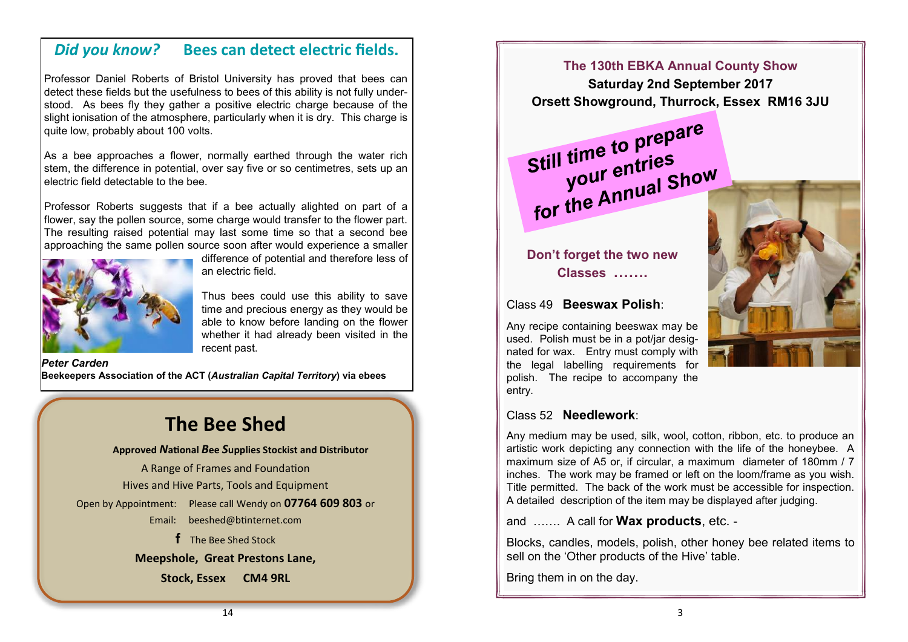### *Did you know?* **Bees can detect electric fields.**

Professor Daniel Roberts of Bristol University has proved that bees can detect these fields but the usefulness to bees of this ability is not fully understood. As bees fly they gather a positive electric charge because of the slight ionisation of the atmosphere, particularly when it is dry. This charge is quite low, probably about 100 volts.

As a bee approaches a flower, normally earthed through the water rich stem, the difference in potential, over say five or so centimetres, sets up an electric field detectable to the bee.

Professor Roberts suggests that if a bee actually alighted on part of a flower, say the pollen source, some charge would transfer to the flower part. The resulting raised potential may last some time so that a second bee approaching the same pollen source soon after would experience a smaller



difference of potential and therefore less of an electric field.

Thus bees could use this ability to save time and precious energy as they would be able to know before landing on the flower whether it had already been visited in the recent past.

*Peter Carden* **Beekeepers Association of the ACT (***Australian Capital Territory***) via ebees**

# **The Bee Shed**

**Approved** *N***ational** *B***ee** *S***upplies Stockist and Distributor** A Range of Frames and Foundation Hives and Hive Parts, Tools and Equipment Open by Appointment: Please call Wendy on **07764 609 803** or Email: [beeshed@btinternet.com](mailto:beeshed@btinternet.com)  **f** The Bee Shed Stock

**Meepshole, Great Prestons Lane,** 

**Stock, Essex CM4 9RL**

**The 130th EBKA Annual County Show**

**Saturday 2nd September 2017 Orsett Showground, Thurrock, Essex RM16 3JU**

Still time to prepare I time to Press<br>your entries Still time<br>your entries<br>for the Annual Show



**Don't forget the two new Classes …….**

### Class 49 **Beeswax Polish**:

Any recipe containing beeswax may be used. Polish must be in a pot/jar designated for wax. Entry must comply with the legal labelling requirements for polish. The recipe to accompany the entry.

### Class 52 **Needlework**:

Any medium may be used, silk, wool, cotton, ribbon, etc. to produce an artistic work depicting any connection with the life of the honeybee. A maximum size of A5 or, if circular, a maximum diameter of 180mm / 7 inches. The work may be framed or left on the loom/frame as you wish. Title permitted. The back of the work must be accessible for inspection. A detailed description of the item may be displayed after judging.

and ……. A call for **Wax products**, etc. -

Blocks, candles, models, polish, other honey bee related items to sell on the 'Other products of the Hive' table.

Bring them in on the day.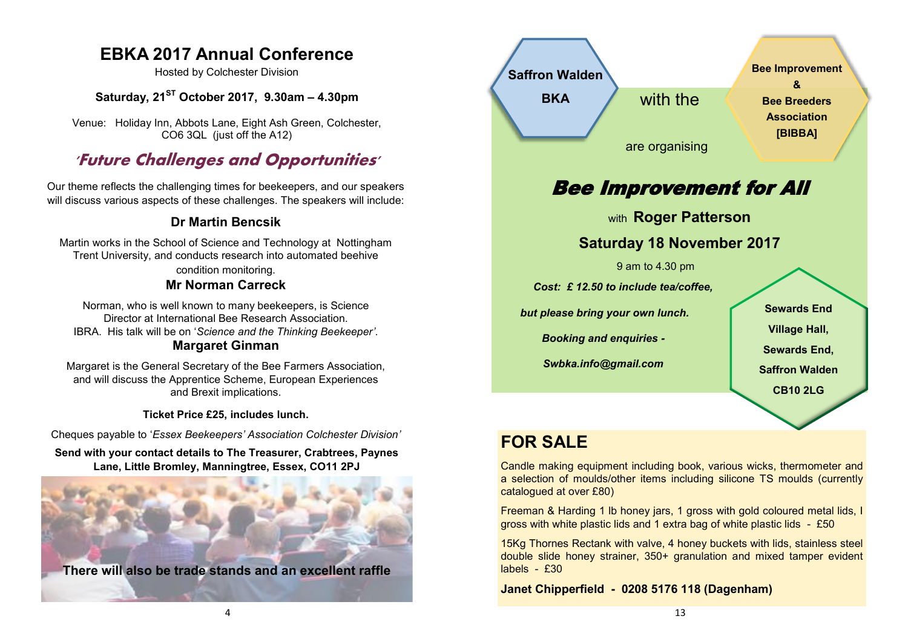### **EBKA 2017 Annual Conference**

Hosted by Colchester Division

### **Saturday, 21ST October 2017, 9.30am – 4.30pm**

Venue: Holiday Inn, Abbots Lane, Eight Ash Green, Colchester, CO6 3QL (just off the A12)

## **'Future Challenges and Opportunities'**

Our theme reflects the challenging times for beekeepers, and our speakers will discuss various aspects of these challenges. The speakers will include:

### **Dr Martin Bencsik**

Martin works in the School of Science and Technology at Nottingham Trent University, and conducts research into automated beehive condition monitoring.

### **Mr Norman Carreck**

Norman, who is well known to many beekeepers, is Science Director at International Bee Research Association. IBRA. His talk will be on '*Science and the Thinking Beekeeper'*. **Margaret Ginman**

Margaret is the General Secretary of the Bee Farmers Association, and will discuss the Apprentice Scheme, European Experiences and Brexit implications.

**Ticket Price £25, includes lunch.**

Cheques payable to '*Essex Beekeepers' Association Colchester Division'*

**Send with your contact details to The Treasurer, Crabtrees, Paynes Lane, Little Bromley, Manningtree, Essex, CO11 2PJ**





# **FOR SALE**

Candle making equipment including book, various wicks, thermometer and a selection of moulds/other items including silicone TS moulds (currently catalogued at over £80)

Freeman & Harding 1 lb honey jars, 1 gross with gold coloured metal lids, I gross with white plastic lids and 1 extra bag of white plastic lids - £50

15Kg Thornes Rectank with valve, 4 honey buckets with lids, stainless steel double slide honey strainer, 350+ granulation and mixed tamper evident labels - £30

**Janet Chipperfield - 0208 5176 118 (Dagenham)**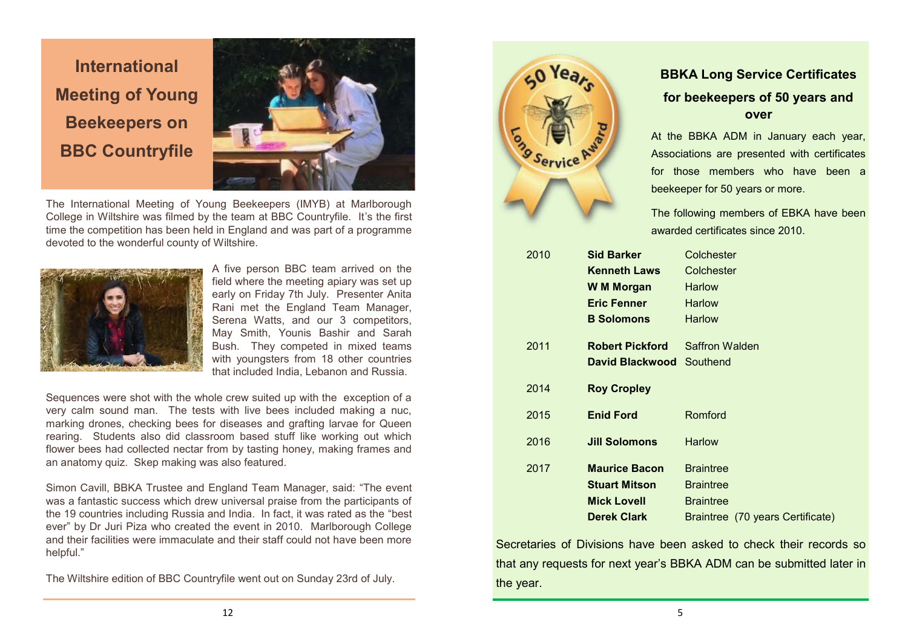**International Meeting of Young Beekeepers on BBC Countryfile**



The International Meeting of Young Beekeepers (IMYB) at Marlborough College in Wiltshire was filmed by the team at BBC Countryfile. It's the first time the competition has been held in England and was part of a programme devoted to the wonderful county of Wiltshire.



A five person BBC team arrived on the field where the meeting apiary was set up early on Friday 7th July. Presenter Anita Rani met the England Team Manager, Serena Watts, and our 3 competitors, May Smith, Younis Bashir and Sarah Bush. They competed in mixed teams with youngsters from 18 other countries that included India, Lebanon and Russia.

Sequences were shot with the whole crew suited up with the exception of a very calm sound man. The tests with live bees included making a nuc, marking drones, checking bees for diseases and grafting larvae for Queen rearing. Students also did classroom based stuff like working out which flower bees had collected nectar from by tasting honey, making frames and an anatomy quiz. Skep making was also featured.

Simon Cavill, BBKA Trustee and England Team Manager, said: "The event was a fantastic success which drew universal praise from the participants of the 19 countries including Russia and India. In fact, it was rated as the "best ever" by Dr Juri Piza who created the event in 2010. Marlborough College and their facilities were immaculate and their staff could not have been more helpful."

The Wiltshire edition of BBC Countryfile went out on Sunday 23rd of July.



### **BBKA Long Service Certificates for beekeepers of 50 years and over**

At the BBKA ADM in January each year, Associations are presented with certificates for those members who have been a beekeeper for 50 years or more.

The following members of EBKA have been awarded certificates since 2010.

| 2010<br><b>Sid Barker</b> |                        | Colchester                       |
|---------------------------|------------------------|----------------------------------|
|                           | <b>Kenneth Laws</b>    | Colchester                       |
|                           | W M Morgan             | Harlow                           |
|                           | <b>Eric Fenner</b>     | <b>Harlow</b>                    |
|                           | <b>B</b> Solomons      | <b>Harlow</b>                    |
| 2011                      | <b>Robert Pickford</b> | Saffron Walden                   |
|                           | David Blackwood        | Southend                         |
| 2014                      | <b>Roy Cropley</b>     |                                  |
|                           |                        |                                  |
| 2015                      | <b>Enid Ford</b>       | Romford                          |
| 2016                      | <b>Jill Solomons</b>   | <b>Harlow</b>                    |
| 2017                      | <b>Maurice Bacon</b>   | <b>Braintree</b>                 |
|                           | <b>Stuart Mitson</b>   | <b>Braintree</b>                 |
|                           | <b>Mick Lovell</b>     | <b>Braintree</b>                 |
|                           | <b>Derek Clark</b>     | Braintree (70 years Certificate) |
|                           |                        |                                  |

Secretaries of Divisions have been asked to check their records so that any requests for next year's BBKA ADM can be submitted later in the year.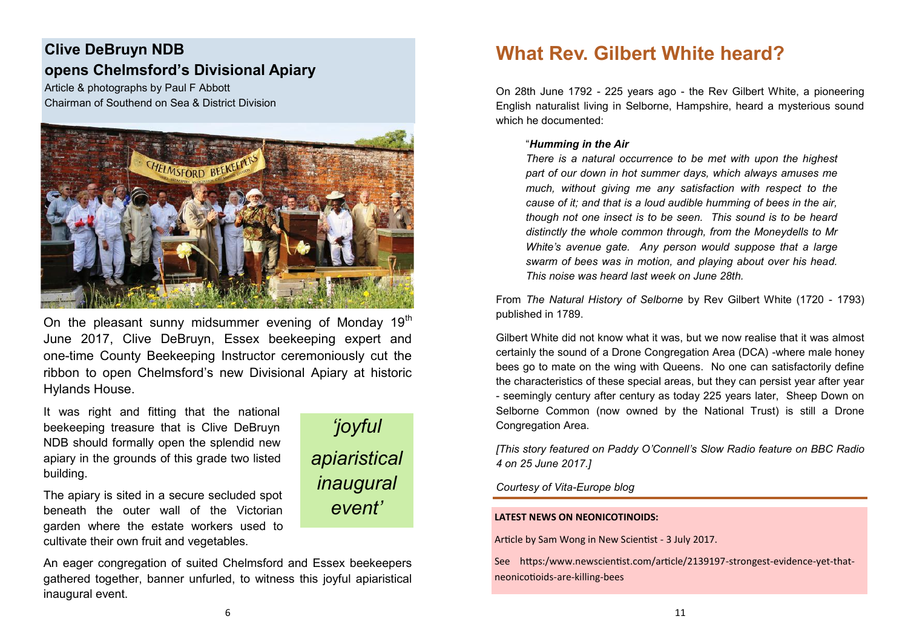### **Clive DeBruyn NDB opens Chelmsford's Divisional Apiary**

Article & photographs by Paul F Abbott Chairman of Southend on Sea & District Division



On the pleasant sunny midsummer evening of Monday  $19<sup>th</sup>$ June 2017, Clive DeBruyn, Essex beekeeping expert and one-time County Beekeeping Instructor ceremoniously cut the ribbon to open Chelmsford's new Divisional Apiary at historic Hylands House.

*'joyful*

*apiaristical* 

*inaugural* 

*event'*

It was right and fitting that the national beekeeping treasure that is Clive DeBruyn NDB should formally open the splendid new apiary in the grounds of this grade two listed building.

The apiary is sited in a secure secluded spot beneath the outer wall of the Victorian garden where the estate workers used to cultivate their own fruit and vegetables.

An eager congregation of suited Chelmsford and Essex beekeepers gathered together, banner unfurled, to witness this joyful apiaristical inaugural event.

# **What Rev. Gilbert White heard?**

On 28th June 1792 - 225 years ago - the Rev Gilbert White, a pioneering English naturalist living in Selborne, Hampshire, heard a mysterious sound which he documented:

#### "*Humming in the Air*

*There is a natural occurrence to be met with upon the highest part of our down in hot summer days, which always amuses me much, without giving me any satisfaction with respect to the cause of it; and that is a loud audible humming of bees in the air, though not one insect is to be seen. This sound is to be heard distinctly the whole common through, from the Moneydells to Mr White's avenue gate. Any person would suppose that a large swarm of bees was in motion, and playing about over his head. This noise was heard last week on June 28th.*

From *The Natural History of Selborne* by Rev Gilbert White (1720 - 1793) published in 1789.

Gilbert White did not know what it was, but we now realise that it was almost certainly the sound of a Drone Congregation Area (DCA) -where male honey bees go to mate on the wing with Queens. No one can satisfactorily define the characteristics of these special areas, but they can persist year after year - seemingly century after century as today 225 years later, Sheep Down on Selborne Common (now owned by the National Trust) is still a Drone Congregation Area.

*[This story featured on Paddy O'Connell's Slow Radio feature on BBC Radio 4 on 25 June 2017.]*

#### *Courtesy of Vita-Europe blog*

#### **LATEST NEWS ON NEONICOTINOIDS:**

Article by Sam Wong in New Scientist - 3 July 2017.

See https:/www.newscientist.com/article/2139197-strongest-evidence-yet-thatneonicotioids-are-killing-bees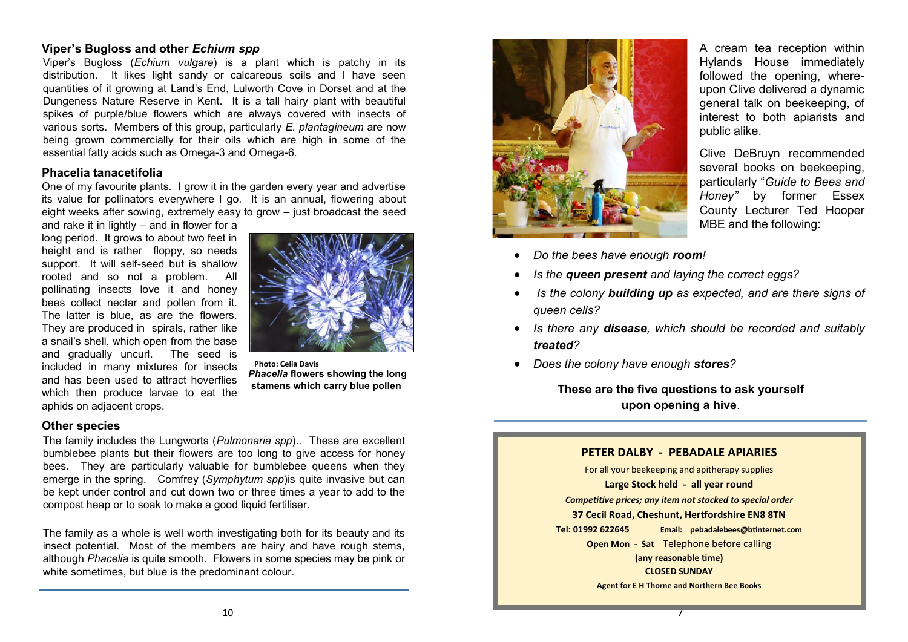### **Viper's Bugloss and other** *Echium spp*

Viper's Bugloss (*Echium vulgare*) is a plant which is patchy in its distribution. It likes light sandy or calcareous soils and I have seen quantities of it growing at Land's End, Lulworth Cove in Dorset and at the Dungeness Nature Reserve in Kent. It is a tall hairy plant with beautiful spikes of purple/blue flowers which are always covered with insects of various sorts. Members of this group, particularly *E. plantagineum* are now being grown commercially for their oils which are high in some of the essential fatty acids such as Omega-3 and Omega-6.

#### **Phacelia tanacetifolia**

One of my favourite plants. I grow it in the garden every year and advertise its value for pollinators everywhere I go. It is an annual, flowering about eight weeks after sowing, extremely easy to grow – just broadcast the seed

and rake it in lightly – and in flower for a long period. It grows to about two feet in height and is rather floppy, so needs support. It will self-seed but is shallow rooted and so not a problem. All pollinating insects love it and honey bees collect nectar and pollen from it. The latter is blue, as are the flowers. They are produced in spirals, rather like a snail's shell, which open from the base and gradually uncurl. The seed is included in many mixtures for insects and has been used to attract hoverflies which then produce larvae to eat the aphids on adjacent crops.



**Photo: Celia Davis** *Phacelia* **flowers showing the long stamens which carry blue pollen**

#### **Other species**

The family includes the Lungworts (*Pulmonaria spp*).. These are excellent bumblebee plants but their flowers are too long to give access for honey bees. They are particularly valuable for bumblebee queens when they emerge in the spring. Comfrey (*Symphytum spp*)is quite invasive but can be kept under control and cut down two or three times a year to add to the compost heap or to soak to make a good liquid fertiliser.

The family as a whole is well worth investigating both for its beauty and its insect potential. Most of the members are hairy and have rough stems, although *Phacelia* is quite smooth. Flowers in some species may be pink or white sometimes, but blue is the predominant colour.



- *Do the bees have enough room!*
- *Is the queen present and laying the correct eggs?*
- *Is the colony building up as expected, and are there signs of queen cells?*
- *Is there any disease, which should be recorded and suitably treated?*
- *Does the colony have enough stores?*

**These are the five questions to ask yourself upon opening a hive**.

#### **PETER DALBY - PEBADALE APIARIES**

For all your beekeeping and apitherapy supplies **Large Stock held - all year round** *Competitive prices; any item not stocked to special order* **37 Cecil Road, Cheshunt, Hertfordshire EN8 8TN Tel: 01992 622645 Email: pebadalebees@btinternet.com Open Mon - Sat** Telephone before calling **(any reasonable time) CLOSED SUNDAY Agent for E H Thorne and Northern Bee Books**

7

A cream tea reception within Hylands House immediately followed the opening, whereupon Clive delivered a dynamic general talk on beekeeping, of interest to both apiarists and public alike.

Clive DeBruyn recommended several books on beekeeping, particularly "*Guide to Bees and Honey"* by former Essex County Lecturer Ted Hooper MBE and the following: